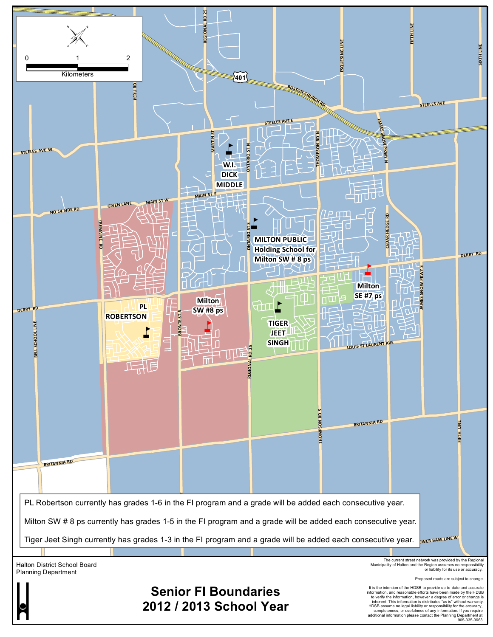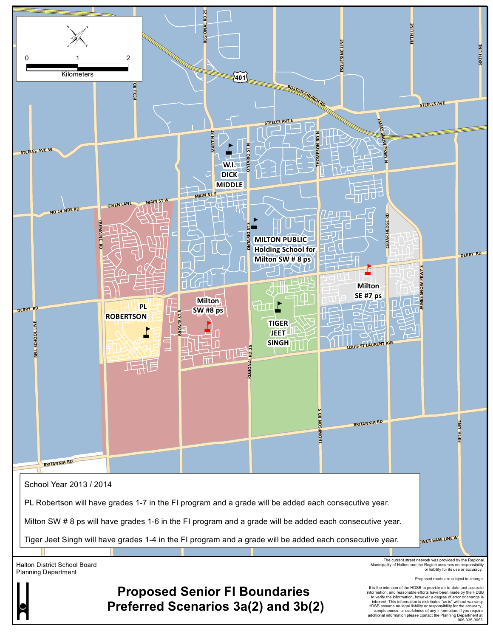

**Preferred Scenarios 3a(2) and 3b(2)**

inherent. This information is distributes "as is" without warranty. HDSB assume no legal liability or responsibility for the accuracy, completeness, or usefulness of any information. If you require additional information please contact the Planning Department at 905-335-3663.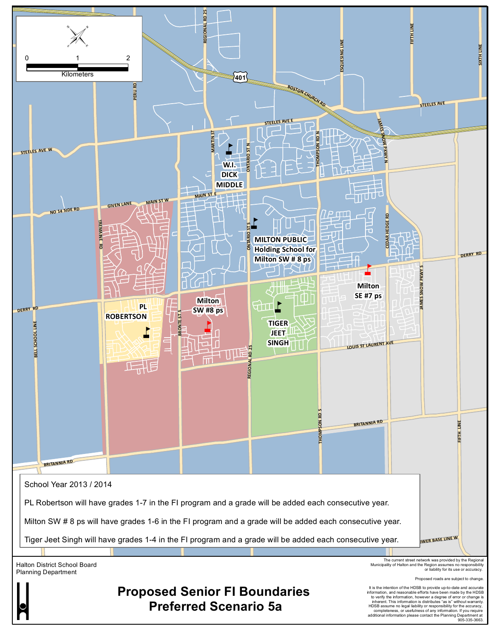

inherent. This information is distributes "as is" without warranty<br>HDSB assume no legal liability or responsibility for the accuracy,<br>completeness, or usefulness of any information. If you require<br>additional information pl